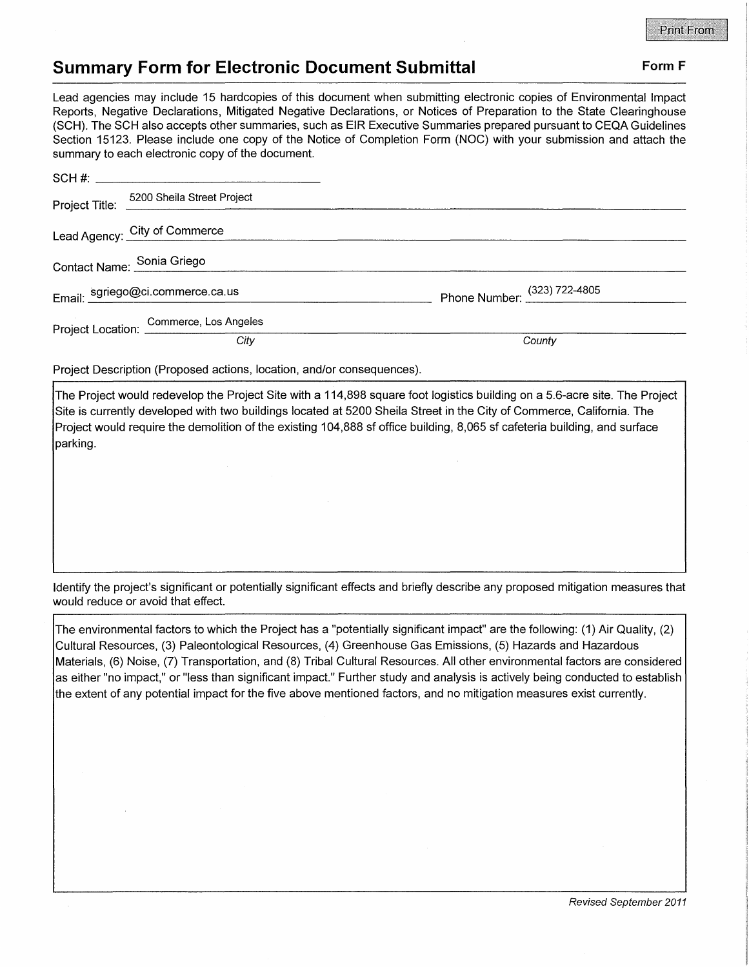## **Summary Form for Electronic Document Submittal Form F Form F**

Lead agencies may include 15 hardcopies of this document when submitting electronic copies of Environmental Impact Reports, Negative Declarations, Mitigated Negative Declarations, or Notices of Preparation to the State Clearinghouse (SCH). The SCH also accepts other summaries, such as EIR Executive Summaries prepared pursuant to CEQA Guidelines Section 15123. Please include one copy of the Notice of Completion Form (NOC) with your submission and attach the

| summary to each electronic copy of the document. |                              |
|--------------------------------------------------|------------------------------|
|                                                  |                              |
| Project Title: 5200 Sheila Street Project        |                              |
| Lead Agency: City of Commerce                    |                              |
| Contact Name: Sonia Griego                       |                              |
| Email: sgriego@ci.commerce.ca.us                 | Phone Number: (323) 722-4805 |
| Project Location: Commerce, Los Angeles          |                              |
| City                                             | County                       |

Project Description (Proposed actions, location, and/or consequences).

The Project would redevelop the Project Site with a 114,898 square foot logistics building on a 5.6-acre site. The Project Site is currently developed with two buildings located at 5200 Sheila Street in the City of Commerce, California. The Project would require the demolition of the existing 104,888 sf office building, 8,065 sf cafeteria building, and surface parking.

Identify the project's significant or potentially significant effects and briefly describe any proposed mitigation measures that would reduce or avoid that effect.

The environmental factors to which the Project has a "potentially significant impact" are the following: (1) Air Quality, (2) Cultural Resources, (3) Paleontological Resources, (4) Greenhouse Gas Emissions, (5) Hazards and Hazardous Materials, (6) Noise, (7) Transportation, and (8) Tribal Cultural Resources. All other environmental factors are considered as either "no impact," or "less than significant impact." Further study and analysis is actively being conducted to establish the extent of any potential impact for the five above mentioned factors, and no mitigation measures exist currently.